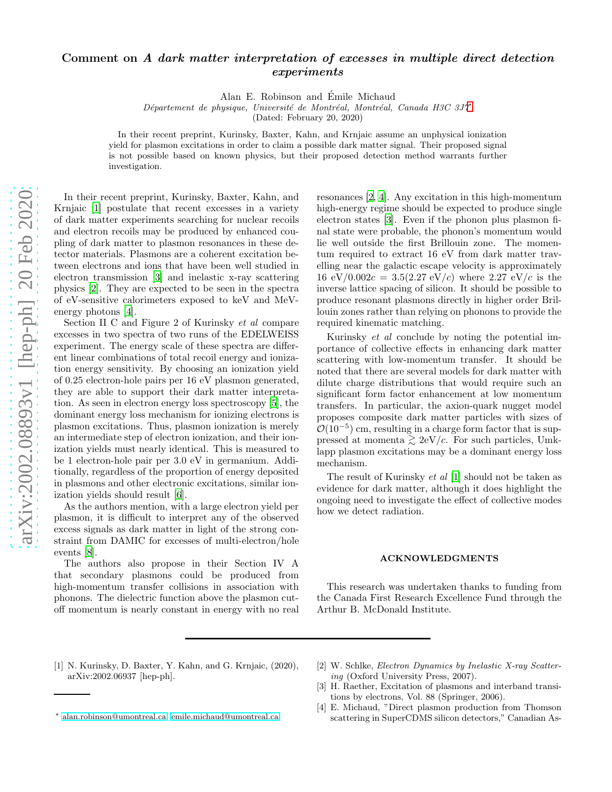## Comment on A dark matter interpretation of excesses in multiple direct detection experiments

Alan E. Robinson and Emile Michaud ´

Département de physique, Université de Montréal, Montréal, Canada H3C 3J7<sup>\*</sup>

(Dated: February 20, 2020)

In their recent preprint, Kurinsky, Baxter, Kahn, and Krnjaic assume an unphysical ionization yield for plasmon excitations in order to claim a possible dark matter signal. Their proposed signal is not possible based on known physics, but their proposed detection method warrants further investigation.

In their recent preprint, Kurinsky, Baxter, Kahn, and Krnjaic [\[1](#page-0-1)] postulate that recent excesses in a variety of dark matter experiments searching for nuclear recoils and electron recoils may be produced by enhanced coupling of dark matter to plasmon resonances in these detector materials. Plasmons are a coherent excitation between electrons and ions that have been well studied in electron transmission [\[3](#page-0-2)] and inelastic x-ray scattering physics [\[2](#page-0-3)]. They are expected to be seen in the spectra of eV-sensitive calorimeters exposed to keV and MeVenergy photons [\[4](#page-0-4)].

Section II C and Figure 2 of Kurinsky et al compare excesses in two spectra of two runs of the EDELWEISS experiment. The energy scale of these spectra are different linear combinations of total recoil energy and ionization energy sensitivity. By choosing an ionization yield of 0.25 electron-hole pairs per 16 eV plasmon generated, they are able to support their dark matter interpretation. As seen in electron energy loss spectroscopy [\[5\]](#page-1-0), the dominant energy loss mechanism for ionizing electrons is plasmon excitations. Thus, plasmon ionization is merely an intermediate step of electron ionization, and their ionization yields must nearly identical. This is measured to be 1 electron-hole pair per 3.0 eV in germanium. Additionally, regardless of the proportion of energy deposited in plasmons and other electronic excitations, similar ionization yields should result [\[6\]](#page-1-1).

As the authors mention, with a large electron yield per plasmon, it is difficult to interpret any of the observed excess signals as dark matter in light of the strong constraint from DAMIC for excesses of multi-electron/hole events [\[8\]](#page-1-2).

The authors also propose in their Section IV A that secondary plasmons could be produced from high-momentum transfer collisions in association with phonons. The dielectric function above the plasmon cutoff momentum is nearly constant in energy with no real

resonances [\[2,](#page-0-3) [4](#page-0-4)]. Any excitation in this high-momentum high-energy regime should be expected to produce single electron states [\[3\]](#page-0-2). Even if the phonon plus plasmon final state were probable, the phonon's momentum would lie well outside the first Brillouin zone. The momentum required to extract 16 eV from dark matter travelling near the galactic escape velocity is approximately 16 eV/0.002 $c = 3.5(2.27 \text{ eV}/c)$  where 2.27 eV/c is the inverse lattice spacing of silicon. It should be possible to produce resonant plasmons directly in higher order Brillouin zones rather than relying on phonons to provide the required kinematic matching.

Kurinsky et al conclude by noting the potential importance of collective effects in enhancing dark matter scattering with low-momentum transfer. It should be noted that there are several models for dark matter with dilute charge distributions that would require such an significant form factor enhancement at low momentum transfers. In particular, the axion-quark nugget model proposes composite dark matter particles with sizes of  $\mathcal{O}(10^{-5})$  cm, resulting in a charge form factor that is suppressed at momenta  $\geq 2eV/c$ . For such particles, Umklapp plasmon excitations may be a dominant energy loss mechanism.

The result of Kurinsky et al [\[1\]](#page-0-1) should not be taken as evidence for dark matter, although it does highlight the ongoing need to investigate the effect of collective modes how we detect radiation.

## ACKNOWLEDGMENTS

This research was undertaken thanks to funding from the Canada First Research Excellence Fund through the Arthur B. McDonald Institute.

- <span id="page-0-1"></span>[1] N. Kurinsky, D. Baxter, Y. Kahn, and G. Krnjaic, (2020), arXiv:2002.06937 [hep-ph].
- <span id="page-0-3"></span>[2] W. Schlke, Electron Dynamics by Inelastic X-ray Scattering (Oxford University Press, 2007).
- <span id="page-0-2"></span>[3] H. Raether, Excitation of plasmons and interband transitions by electrons, Vol. 88 (Springer, 2006).
- <span id="page-0-4"></span>[4] E. Michaud, "Direct plasmon production from Thomson scattering in SuperCDMS silicon detectors," Canadian As-

<span id="page-0-0"></span><sup>∗</sup> [alan.robinson@umontreal.ca;](mailto:alan.robinson@umontreal.ca) [emile.michaud@umontreal.ca](mailto:emile.michaud@umontreal.ca)